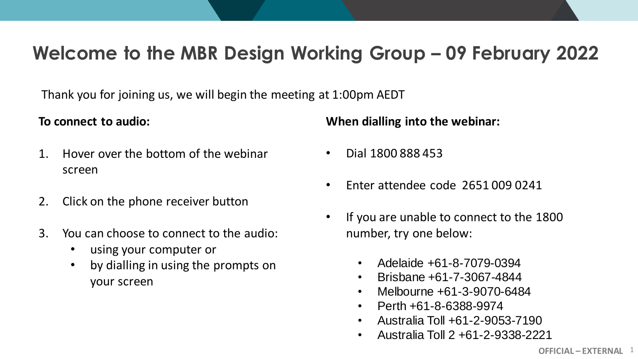### **Welcome to the MBR Design Working Group – 09 February 2022**

Thank you for joining us, we will begin the meeting at 1:00pm AEDT

### **To connect to audio:**

- 1. Hover over the bottom of the webinar screen
- 2. Click on the phone receiver button
- 3. You can choose to connect to the audio:
	- using your computer or
	- by dialling in using the prompts on your screen

**When dialling into the webinar:**

- Dial 1800 888 453
- Enter attendee code 2651 009 0241
- If you are unable to connect to the 1800 number, try one below:
	- Adelaide +61-8-7079-0394
	- Brisbane +61-7-3067-4844
	- Melbourne +61-3-9070-6484
	- Perth +61-8-6388-9974
	- Australia Toll +61-2-9053-7190
	- Australia Toll 2 +61-2-9338-2221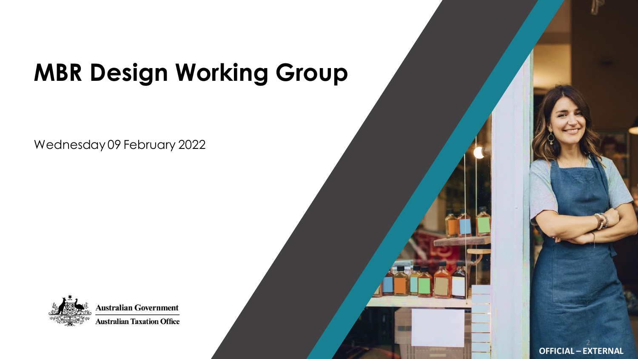## **MBR Design Working Group**

Wednesday 09 February 2022



**Australian Government Australian Taxation Office** 

**OFFICIAL – EXTERNAL**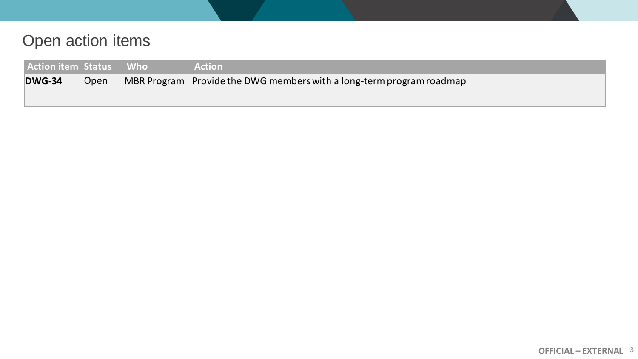### Open action items

| <b>Action item Status Who</b> |  | <b>Action</b>                                                        |
|-------------------------------|--|----------------------------------------------------------------------|
| <b>DWG-34</b><br>Open         |  | MBR Program Provide the DWG members with a long-term program roadmap |
|                               |  |                                                                      |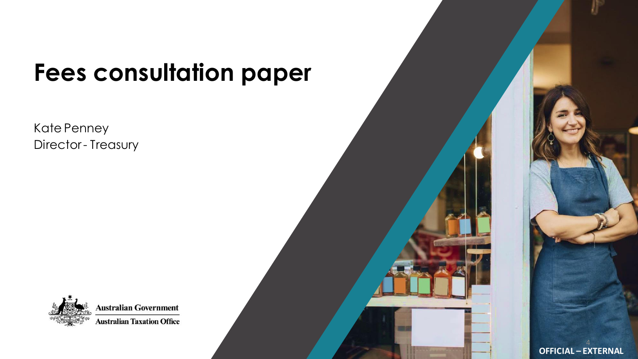## **Fees consultation paper**

Kate Penney Director - Treasury



**Australian Government Australian Taxation Office** 

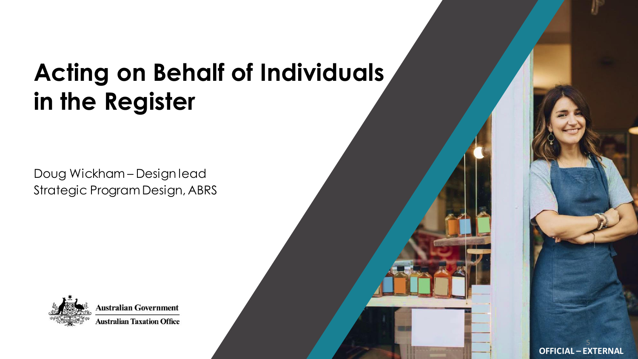## **Acting on Behalf of Individuals in the Register**

Doug Wickham – Design lead Strategic Program Design, ABRS



**Australian Government Australian Taxation Office** 

**OFFICIAL – EXTERNAL**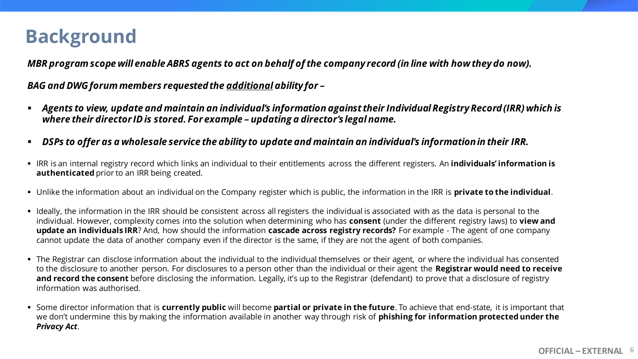### **Background**

*MBR program scope will enable ABRS agents to act on behalf of the company record (in line with how they do now).*

*BAG and DWG forum members requested the additional ability for –*

- *Agents to view, update and maintain an individual's information against their Individual Registry Record (IRR) which is where their director ID is stored. For example – updating a director's legal name.*
- *DSPs to offer as a wholesale service the ability to update and maintain an individual's information in their IRR.*
- IRR is an internal registry record which links an individual to their entitlements across the different registers. An *individuals' information is* **authenticated** prior to an IRR being created.
- Unlike the information about an individual on the Company register which is public, the information in the IRR is **private to the individual**.
- Ideally, the information in the IRR should be consistent across all registers the individual is associated with as the data is personal to the individual. However, complexity comes into the solution when determining who has **consent** (under the different registry laws) to **view and update an individuals IRR**? And, how should the information **cascade across registry records?** For example - The agent of one company cannot update the data of another company even if the director is the same, if they are not the agent of both companies.
- The Registrar can disclose information about the individual to the individual themselves or their agent, or where the individual has consented to the disclosure to another person. For disclosures to a person other than the individual or their agent the **Registrar would need to receive**  and record the consent before disclosing the information. Legally, it's up to the Registrar (defendant) to prove that a disclosure of registry information was authorised.
- Some director information that is **currently public** will become **partial or private in the future**. To achieve that end-state, it is important that we don't undermine this by making the information available in another way through risk of **phishing for information protected under the**  *Privacy Act*.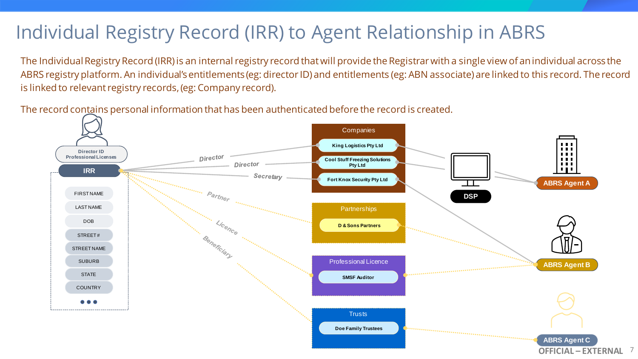### Individual Registry Record (IRR) to Agent Relationship in ABRS

The Individual Registry Record (IRR) is an internal registry record that will provide the Registrar with a single view of an individual across the ABRS registry platform. An individual's entitlements (eg: director ID) and entitlements (eg: ABN associate) are linked to this record. The record is linked to relevant registry records, (eg: Company record).

The record contains personal information that has been authenticated before the record is created.

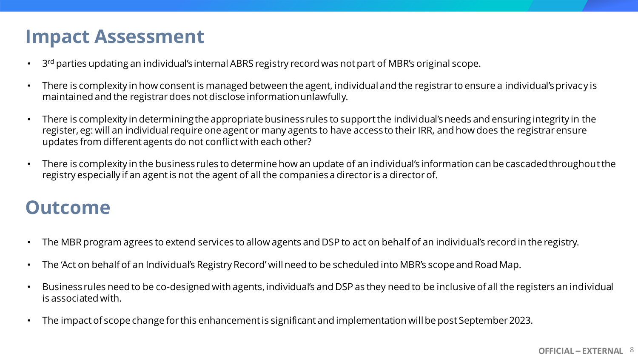### **Impact Assessment**

- 3<sup>rd</sup> parties updating an individual's internal ABRS registry record was not part of MBR's original scope.
- There is complexity in how consent is managed between the agent, individual and the registrar to ensure a individual's privacy is maintained and the registrar does not disclose information unlawfully.
- There is complexity in determining the appropriate business rules to support the individual's needs and ensuring integrity in the register, eg: will an individual require one agent or many agents to have access to their IRR, and how does the registrar ensure updates from different agents do not conflict with each other?
- There is complexity in the business rules to determine how an update of an individual's information can be cascaded throughout the registry especially if an agent is not the agent of all the companies a director is a director of.

### **Outcome**

- The MBR program agrees to extend services to allow agents and DSP to act on behalf of an individual's record in the registry.
- The 'Act on behalf of an Individual's Registry Record' will need to be scheduled into MBR's scope and Road Map.
- Business rules need to be co-designed with agents, individual's and DSP as they need to be inclusive of all the registers an individual is associated with.
- The impact of scope change for this enhancement is significant and implementation will be post September 2023.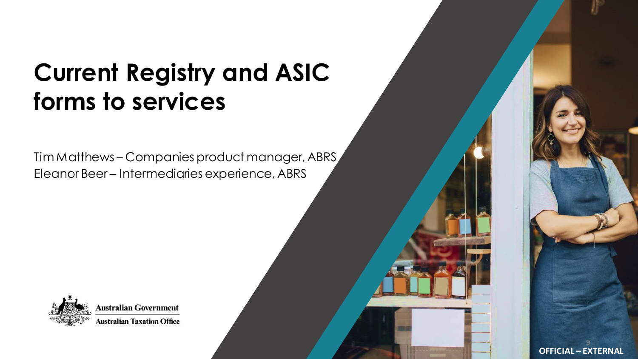### **Current Registry and ASIC forms to services**

Tim Matthews – Companies product manager, ABRS Eleanor Beer – Intermediaries experience, ABRS



**Australian Government Australian Taxation Office** 

> **OFFICIAL – EXTERNAL**  9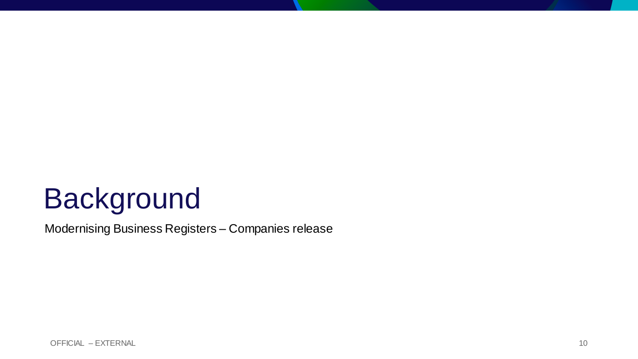# Background

Modernising Business Registers – Companies release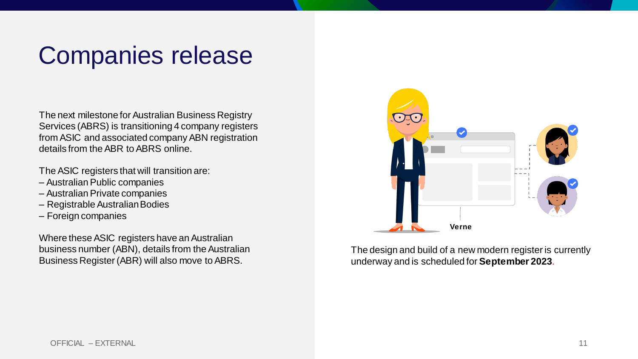## Companies release

The next milestone for Australian Business Registry Services (ABRS) is transitioning 4 company registers from ASIC and associated company ABN registration details from the ABR to ABRS online.

The ASIC registers that will transition are:

- Australian Public companies
- Australian Private companies
- Registrable Australian Bodies
- Foreign companies

Where these ASIC registers have an Australian business number (ABN), details from the Australian Business Register (ABR) will also move to ABRS.



The design and build of a new modern register is currently underway and is scheduled for **September 2023**.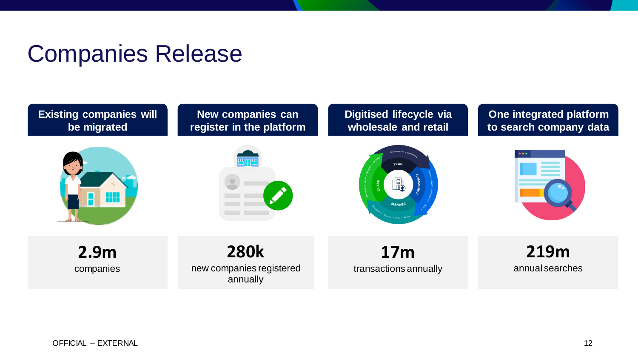### Companies Release

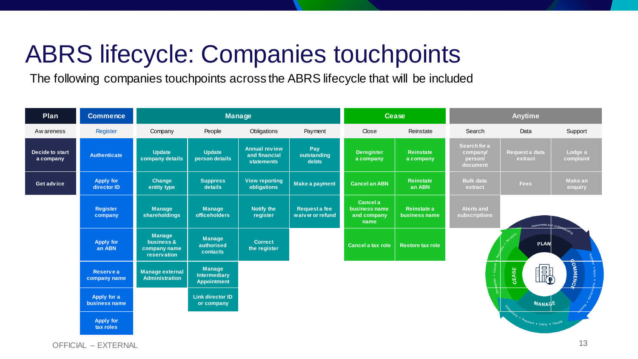## ABRS lifecycle: Companies touchpoints

The following companies touchpoints across the ABRS lifecycle that will be included

| Plan                         | <b>Commence</b>                  |                                                                   |                                                            | Manage                                                     |                                   |                                                  | <b>Cease</b>                  |                                                 | <b>Anytime</b>            |                      |
|------------------------------|----------------------------------|-------------------------------------------------------------------|------------------------------------------------------------|------------------------------------------------------------|-----------------------------------|--------------------------------------------------|-------------------------------|-------------------------------------------------|---------------------------|----------------------|
| Aw areness                   | Register                         | Company                                                           | People                                                     | Obligations                                                | Payment                           | Close                                            | Reinstate                     | Search                                          | Data                      | Support              |
| Decide to start<br>a company | <b>Authenticate</b>              | <b>Update</b><br>company details                                  | Update<br>person details                                   | <b>Annual review</b><br>and financial<br><b>statements</b> | Pay<br>outstanding<br>debts       | <b>Deregister</b><br>a company                   | <b>Reinstate</b><br>a company | Search for a<br>company/<br>person/<br>document | Request a data<br>extract | Lodge a<br>complaint |
| Get advice                   | <b>Apply for</b><br>director ID  | Change<br>entity type                                             | <b>Suppress</b><br>details                                 | <b>View reporting</b><br>obligations                       | Make a payment                    | <b>Cancel an ABN</b>                             | <b>Reinstate</b><br>an ABN    | <b>Bulk data</b><br>extract                     | <b>Fees</b>               | Make an<br>enquiry   |
|                              | Register<br>company              | Manage<br>shareholdings                                           | <b>Manage</b><br><b>officeholders</b>                      | Notify the<br>register                                     | Request a fee<br>waiver or refund | Cancel a<br>business name<br>and company<br>name | Reinstate a<br>business name  | <b>Alerts and</b><br>subscriptions              | Awareness and under       |                      |
|                              | <b>Apply for</b><br>an ABN       | <b>Manage</b><br>business &<br>company name<br><b>reservation</b> | <b>Manage</b><br>authorised<br>contacts                    | <b>Correct</b><br>the register                             |                                   | Cancel a tax role                                | <b>Restore tax role</b>       |                                                 | PLAN                      |                      |
|                              | <b>Reserve a</b><br>company name | <b>Manage external</b><br><b>Administration</b>                   | <b>Manage</b><br><b>Intermediary</b><br><b>Appointment</b> |                                                            |                                   |                                                  |                               | ്                                               | E)<br><b>CEASE</b>        | <b>OMMENCE</b>       |
|                              | Apply for a<br>business name     |                                                                   | <b>Link director ID</b><br>or company                      |                                                            |                                   |                                                  |                               |                                                 | <b>MANAGE</b>             |                      |
|                              | Apply for<br>tax roles           |                                                                   |                                                            |                                                            |                                   |                                                  |                               |                                                 | Payment . Entity . People |                      |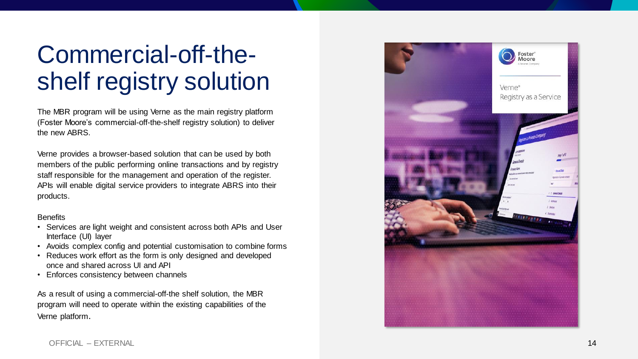## Commercial-off-theshelf registry solution

The MBR program will be using Verne as the main registry platform (Foster Moore's commercial -off -the -shelf registry solution) to deliver the new ABRS.

Verne provides a browser -based solution that can be used by both members of the public performing online transactions and by registry staff responsible for the management and operation of the register. APIs will enable digital service providers to integrate ABRS into their products.

#### **Benefits**

- Services are light weight and consistent across both APIs and User Interface (UI) layer
- Avoids complex config and potential customisation to combine forms Reduces work effort as the form is only designed and developed
- once and shared across UI and API
- Enforces consistency between channels

As a result of using a commercial-off-the shelf solution, the MBR program will need to operate within the existing capabilities of the Verne platform .

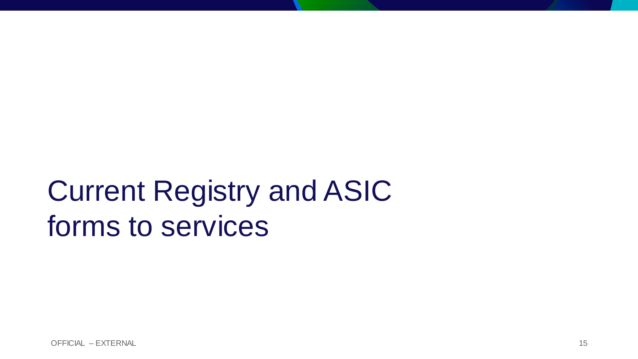# Current Registry and ASIC forms to services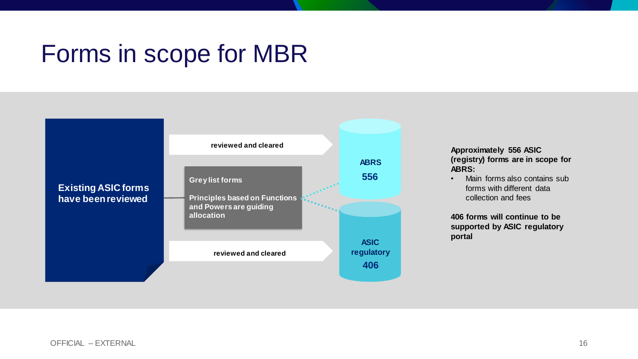### Forms in scope for MBR



**Approximately 556 ASIC (registry) forms are in scope for ABRS:** 

• Main forms also contains sub forms with different data collection and fees

**406 forms will continue to be supported by ASIC regulatory portal**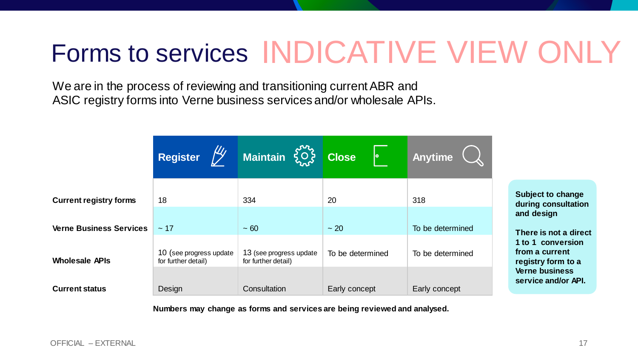# Forms to services INDICATIVE VIEW ONLY

We are in the process of reviewing and transitioning current ABR and ASIC registry forms into Verne business services and/or wholesale APIs.

|                                |                                                | Register ( Maintain $\{ \bigcirc \}$ Close     | 10               | Anytime          |  |
|--------------------------------|------------------------------------------------|------------------------------------------------|------------------|------------------|--|
| <b>Current registry forms</b>  | 18                                             | 334                                            | 20               | 318              |  |
| <b>Verne Business Services</b> | $\sim$ 17                                      | $\sim 60$                                      | $\sim$ 20        | To be determined |  |
| <b>Wholesale APIs</b>          | 10 (see progress update<br>for further detail) | 13 (see progress update<br>for further detail) | To be determined | To be determined |  |
| <b>Current status</b>          | Design                                         | Consultation                                   | Early concept    | Early concept    |  |

**Subject to change during consultation and design** 

**There is not a direct 1 to 1 conversion from a current registry form to a Verne business service and/or API.**

**Numbers may change as forms and services are being reviewed and analysed.**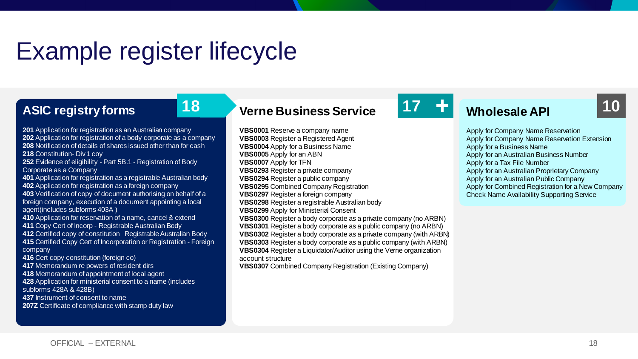### Example register lifecycle

#### **ASIC registry forms**

 Application for registration as an Australian company Application for registration of a body corporate as a company Notification of details of shares issued other than for cash **218 Constitution- Div 1 coy**  Evidence of eligibility - Part 5B.1 - Registration of Body Corporate as a Company Application for registration as a registrable Australian body Application for registration as a foreign company Verification of copy of document authorising on behalf of a foreign company, execution of a document appointing a local agent(includes subforms 403A ) Application for reservation of a name, cancel & extend Copy Cert of Incorp - Registrable Australian Body Certified copy of constitution Registrable Australian Body Certified Copy Cert of Incorporation or Registration - Foreign company Cert copy constitution (foreign co) Memorandum re powers of resident dirs Memorandum of appointment of local agent Application for ministerial consent to a name (includes subforms 428A & 428B) Instrument of consent to name

**207Z** Certificate of compliance with stamp duty law

### **Verne Business Service 18 17 10**

**VBS0001** Reserve a company name **VBS0003** Register a Registered Agent **VBS0004** Apply for a Business Name **VBS0005** Apply for an ABN **VBS0007** Apply for TFN **VBS0293** Register a private company **VBS0294** Register a public company **VBS0295** Combined Company Registration **VBS0297** Register a foreign company **VBS0298** Register a registrable Australian body **VBS0299** Apply for Ministerial Consent **VBS0300** Register a body corporate as a private company (no ARBN) **VBS0301** Register a body corporate as a public company (no ARBN) **VBS0302** Register a body corporate as a private company (with ARBN) **VBS0303** Register a body corporate as a public company (with ARBN) **VBS0304** Register a Liquidator/Auditor using the Verne organization account structure

**VBS0307** Combined Company Registration (Existing Company)



### **Wholesale API**

Apply for Company Name Reservation Apply for Company Name Reservation Extension Apply for a Business Name Apply for an Australian Business Number Apply for a Tax File Number Apply for an Australian Proprietary Company Apply for an Australian Public Company Apply for Combined Registration for a New Company Check Name Availability Supporting Service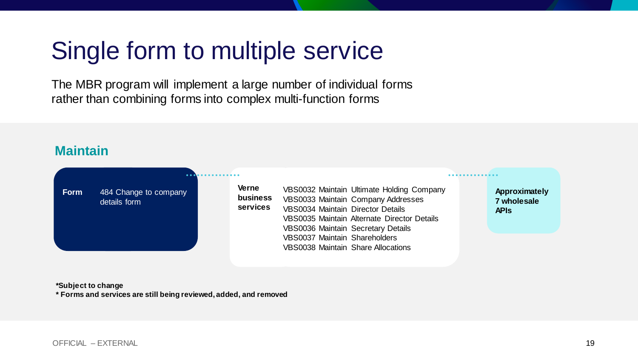## Single form to multiple service

The MBR program will implement a large number of individual forms rather than combining forms into complex multi-function forms

#### **Maintain**

| <b>Form</b> | 484 Change to company<br>details form | <b>Verne</b><br>business<br>services | VBS0032 Maintain Ultimate Holding Company<br>VBS0033 Maintain Company Addresses<br><b>VBS0034 Maintain Director Details</b><br>VBS0035 Maintain Alternate Director Details<br><b>VBS0036 Maintain Secretary Details</b> | Approximately<br>7 wholesale<br><b>APIS</b> |
|-------------|---------------------------------------|--------------------------------------|-------------------------------------------------------------------------------------------------------------------------------------------------------------------------------------------------------------------------|---------------------------------------------|
|             |                                       |                                      | <b>VBS0037 Maintain Shareholders</b><br><b>VBS0038 Maintain Share Allocations</b>                                                                                                                                       |                                             |

**\*Subject to change** 

**\* Forms and services are still being reviewed, added, and removed**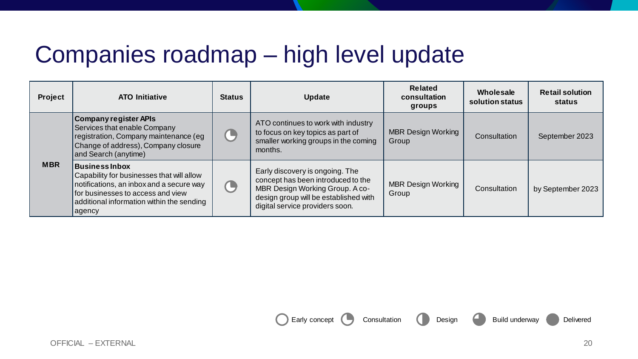### Companies roadmap – high level update

| Project    | <b>ATO Initiative</b>                                                                                                                                                                                      | <b>Status</b> | <b>Update</b>                                                                                                                                                                        | <b>Related</b><br>consultation<br>groups | Wholesale<br>solution status | <b>Retail solution</b><br>status |
|------------|------------------------------------------------------------------------------------------------------------------------------------------------------------------------------------------------------------|---------------|--------------------------------------------------------------------------------------------------------------------------------------------------------------------------------------|------------------------------------------|------------------------------|----------------------------------|
|            | <b>Company register APIs</b><br><b>Services that enable Company</b><br>registration, Company maintenance (eg<br>Change of address), Company closure<br>and Search (anytime)                                | L             | ATO continues to work with industry<br>to focus on key topics as part of<br>smaller working groups in the coming<br>months.                                                          | <b>MBR Design Working</b><br>Group       | Consultation                 | September 2023                   |
| <b>MBR</b> | <b>Business Inbox</b><br>Capability for businesses that will allow<br>notifications, an inbox and a secure way<br>for businesses to access and view<br>additional information within the sending<br>agency | T,            | Early discovery is ongoing. The<br>concept has been introduced to the<br>MBR Design Working Group. A co-<br>design group will be established with<br>digital service providers soon. | <b>MBR Design Working</b><br>Group       | Consultation                 | by September 2023                |

Early concept Consultation Consultation Design Build underway Delivered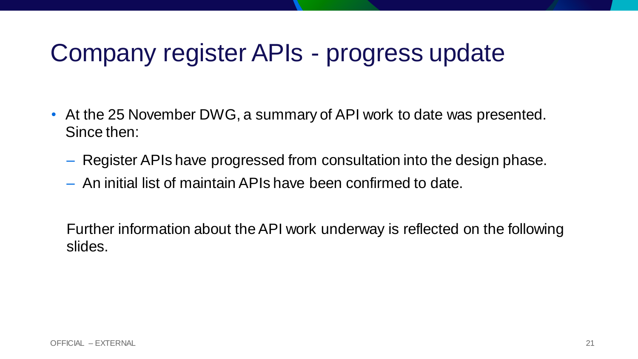### Company register APIs - progress update

- At the 25 November DWG, a summary of API work to date was presented. Since then:
	- Register APIs have progressed from consultation into the design phase.
	- An initial list of maintain APIs have been confirmed to date.

Further information about the API work underway is reflected on the following slides.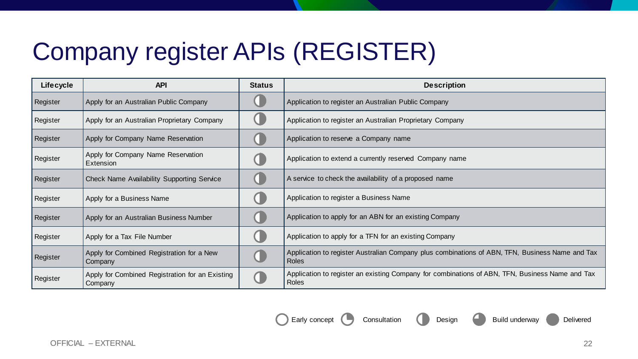## Company register APIs (REGISTER)

| <b>Lifecycle</b> | <b>API</b>                                                 | <b>Status</b> | <b>Description</b>                                                                                              |
|------------------|------------------------------------------------------------|---------------|-----------------------------------------------------------------------------------------------------------------|
| Register         | Apply for an Australian Public Company                     |               | Application to register an Australian Public Company                                                            |
| Register         | Apply for an Australian Proprietary Company                |               | Application to register an Australian Proprietary Company                                                       |
| Register         | Apply for Company Name Reservation                         |               | Application to reserve a Company name                                                                           |
| Register         | Apply for Company Name Reservation<br>Extension            |               | Application to extend a currently reserved Company name                                                         |
| Register         | Check Name Availability Supporting Service                 |               | A service to check the availability of a proposed name                                                          |
| Register         | Apply for a Business Name                                  |               | Application to register a Business Name                                                                         |
| Register         | Apply for an Australian Business Number                    |               | Application to apply for an ABN for an existing Company                                                         |
| Register         | Apply for a Tax File Number                                |               | Application to apply for a TFN for an existing Company                                                          |
| Register         | Apply for Combined Registration for a New<br>Company       |               | Application to register Australian Company plus combinations of ABN, TFN, Business Name and Tax<br><b>Roles</b> |
| Register         | Apply for Combined Registration for an Existing<br>Company |               | Application to register an existing Company for combinations of ABN, TFN, Business Name and Tax<br>Roles        |

Consultation Consultation Design Build underway Delivered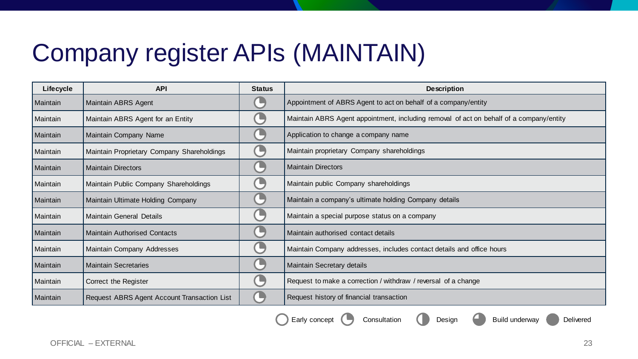## Company register APIs (MAINTAIN)

| <b>Lifecycle</b> | <b>API</b>                                  | <b>Status</b> | <b>Description</b>                                                                      |
|------------------|---------------------------------------------|---------------|-----------------------------------------------------------------------------------------|
| Maintain         | Maintain ABRS Agent                         |               | Appointment of ABRS Agent to act on behalf of a company/entity                          |
| Maintain         | Maintain ABRS Agent for an Entity           | u             | Maintain ABRS Agent appointment, including removal of act on behalf of a company/entity |
| Maintain         | Maintain Company Name                       |               | Application to change a company name                                                    |
| Maintain         | Maintain Proprietary Company Shareholdings  |               | Maintain proprietary Company shareholdings                                              |
| Maintain         | <b>Maintain Directors</b>                   | л             | <b>Maintain Directors</b>                                                               |
| Maintain         | Maintain Public Company Shareholdings       |               | Maintain public Company shareholdings                                                   |
| Maintain         | Maintain Ultimate Holding Company           |               | Maintain a company's ultimate holding Company details                                   |
| Maintain         | <b>Maintain General Details</b>             |               | Maintain a special purpose status on a company                                          |
| Maintain         | <b>Maintain Authorised Contacts</b>         |               | Maintain authorised contact details                                                     |
| Maintain         | Maintain Company Addresses                  |               | Maintain Company addresses, includes contact details and office hours                   |
| Maintain         | <b>Maintain Secretaries</b>                 |               | Maintain Secretary details                                                              |
| Maintain         | Correct the Register                        |               | Request to make a correction / withdraw / reversal of a change                          |
| Maintain         | Request ABRS Agent Account Transaction List |               | Request history of financial transaction                                                |

Early concept Consultation Consultation Design Build underway Delivered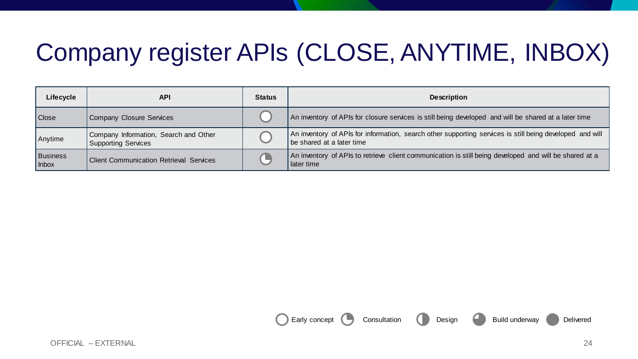## Company register APIs (CLOSE, ANYTIME, INBOX)

| Lifecycle         | API                                                                 | <b>Status</b> | <b>Description</b>                                                                                                                    |
|-------------------|---------------------------------------------------------------------|---------------|---------------------------------------------------------------------------------------------------------------------------------------|
| Close             | Company Closure Services                                            |               | An inventory of APIs for closure services is still being developed and will be shared at a later time                                 |
| Anytime           | Company Information, Search and Other<br><b>Supporting Services</b> |               | An inventory of APIs for information, search other supporting services is still being developed and will<br>be shared at a later time |
| Business<br>Inbox | <b>Client Communication Retrieval Services</b>                      |               | An inventory of APIs to retrieve client communication is still being developed and will be shared at a<br>later time                  |

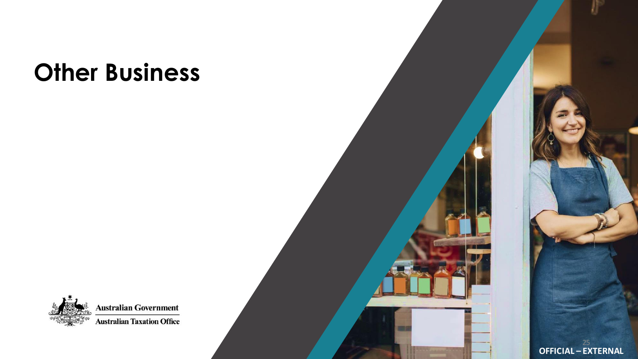## **Other Business**



**Australian Government Australian Taxation Office** 

**OFFICIAL – EXTERNAL**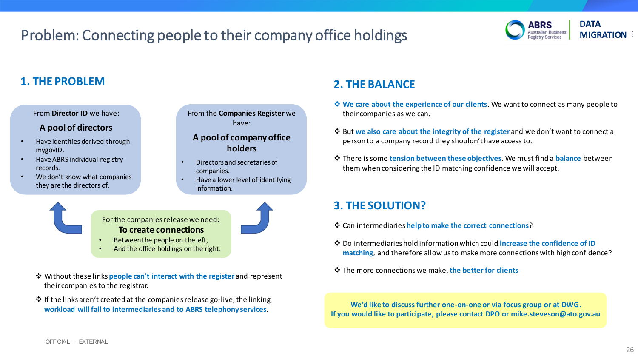### Problem: Connecting people to their company office holdings **WAGGING ALGITATION** Australian Business MIGRATION



#### **1. THE PROBLEM**

From **Director ID** we have:

#### **A pool of directors**

- Have identities derived through mygovID.
- Have ABRS individual registry records.
- We don't know what companies they are the directors of.

From the **Companies Register** we have:

#### **A pool of company office holders**

- Directors and secretaries of companies.
- Have a lower level of identifying information.



For the companies release we need: **To create connections**

- Between the people on the left,
- And the office holdings on the right.
- ❖ Without these links **people can't interact with the register** and represent their companies to the registrar.
- ❖ If the links aren't created at the companies release go-live, the linking **workload will fall to intermediaries and to ABRS telephony services**.

### **2. THE BALANCE**

- ❖ **We care about the experience of our clients**. We want to connect as many people to their companies as we can.
- ❖ But **we also care about the integrity of the register** and we don't want to connect a person to a company record they shouldn't have access to.
- ❖ There is some **tension between these objectives**. We must find a **balance** between them when considering the ID matching confidence we will accept.

#### **3. THE SOLUTION?**

- ❖ Can intermediaries **help to make the correct connections**?
- ❖ Do intermediaries hold information which could **increase the confidence of ID matching**, and therefore allow us to make more connections with high confidence?
- ❖ The more connections we make, **the better for clients**

**We'd like to discuss further one-on-one or via focus group or at DWG. If you would like to participate, please contact DPO or mike.steveson@ato.gov.au**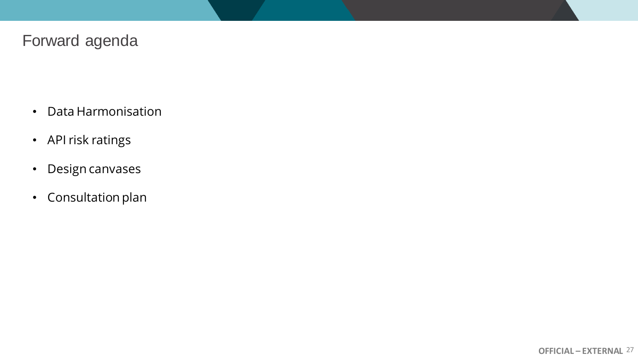### Forward agenda

- Data Harmonisation
- API risk ratings
- Design canvases
- Consultation plan